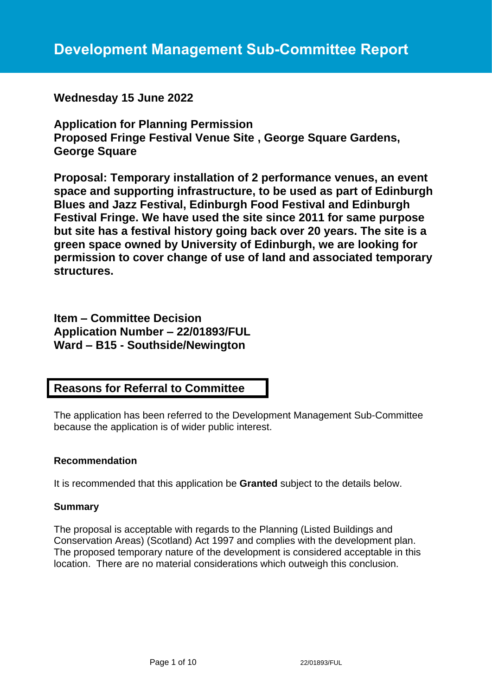**Wednesday 15 June 2022**

**Application for Planning Permission Proposed Fringe Festival Venue Site , George Square Gardens, George Square**

**Proposal: Temporary installation of 2 performance venues, an event space and supporting infrastructure, to be used as part of Edinburgh Blues and Jazz Festival, Edinburgh Food Festival and Edinburgh Festival Fringe. We have used the site since 2011 for same purpose but site has a festival history going back over 20 years. The site is a green space owned by University of Edinburgh, we are looking for permission to cover change of use of land and associated temporary structures.**

**Item – Committee Decision Application Number – 22/01893/FUL Ward – B15 - Southside/Newington**

# **Reasons for Referral to Committee**

The application has been referred to the Development Management Sub-Committee because the application is of wider public interest.

### **Recommendation**

It is recommended that this application be **Granted** subject to the details below.

## **Summary**

The proposal is acceptable with regards to the Planning (Listed Buildings and Conservation Areas) (Scotland) Act 1997 and complies with the development plan. The proposed temporary nature of the development is considered acceptable in this location. There are no material considerations which outweigh this conclusion.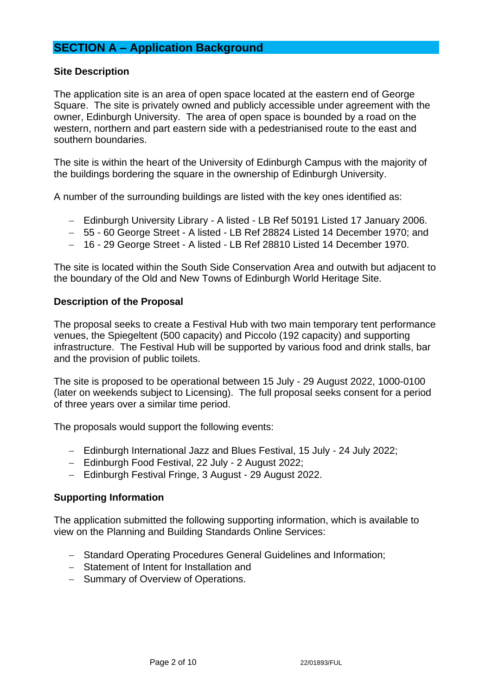# **SECTION A – Application Background**

### **Site Description**

The application site is an area of open space located at the eastern end of George Square. The site is privately owned and publicly accessible under agreement with the owner, Edinburgh University. The area of open space is bounded by a road on the western, northern and part eastern side with a pedestrianised route to the east and southern boundaries.

The site is within the heart of the University of Edinburgh Campus with the majority of the buildings bordering the square in the ownership of Edinburgh University.

A number of the surrounding buildings are listed with the key ones identified as:

- − Edinburgh University Library A listed LB Ref 50191 Listed 17 January 2006.
- − 55 60 George Street A listed LB Ref 28824 Listed 14 December 1970; and
- − 16 29 George Street A listed LB Ref 28810 Listed 14 December 1970.

The site is located within the South Side Conservation Area and outwith but adjacent to the boundary of the Old and New Towns of Edinburgh World Heritage Site.

#### **Description of the Proposal**

The proposal seeks to create a Festival Hub with two main temporary tent performance venues, the Spiegeltent (500 capacity) and Piccolo (192 capacity) and supporting infrastructure. The Festival Hub will be supported by various food and drink stalls, bar and the provision of public toilets.

The site is proposed to be operational between 15 July - 29 August 2022, 1000-0100 (later on weekends subject to Licensing). The full proposal seeks consent for a period of three years over a similar time period.

The proposals would support the following events:

- − Edinburgh International Jazz and Blues Festival, 15 July 24 July 2022;
- − Edinburgh Food Festival, 22 July 2 August 2022;
- − Edinburgh Festival Fringe, 3 August 29 August 2022.

### **Supporting Information**

The application submitted the following supporting information, which is available to view on the Planning and Building Standards Online Services:

- − Standard Operating Procedures General Guidelines and Information;
- − Statement of Intent for Installation and
- − Summary of Overview of Operations.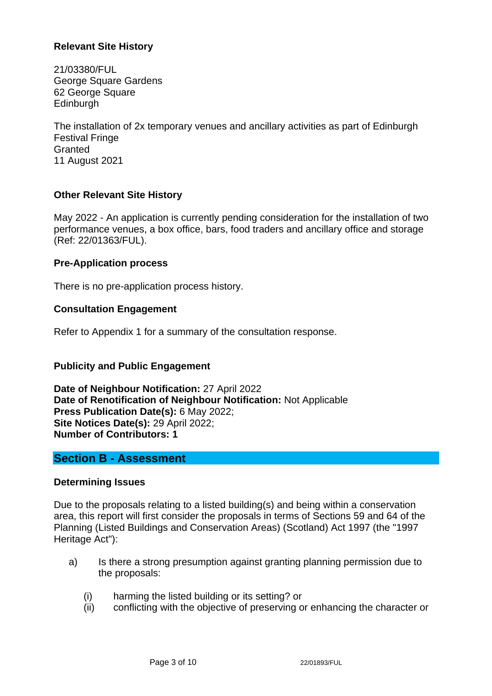## **Relevant Site History**

21/03380/FUL George Square Gardens 62 George Square **Edinburgh** 

The installation of 2x temporary venues and ancillary activities as part of Edinburgh Festival Fringe **Granted** 11 August 2021

### **Other Relevant Site History**

May 2022 - An application is currently pending consideration for the installation of two performance venues, a box office, bars, food traders and ancillary office and storage (Ref: 22/01363/FUL).

#### **Pre-Application process**

There is no pre-application process history.

#### **Consultation Engagement**

Refer to Appendix 1 for a summary of the consultation response.

### **Publicity and Public Engagement**

**Date of Neighbour Notification:** 27 April 2022 **Date of Renotification of Neighbour Notification:** Not Applicable **Press Publication Date(s):** 6 May 2022; **Site Notices Date(s):** 29 April 2022; **Number of Contributors: 1**

### **Section B - Assessment**

### **Determining Issues**

Due to the proposals relating to a listed building(s) and being within a conservation area, this report will first consider the proposals in terms of Sections 59 and 64 of the Planning (Listed Buildings and Conservation Areas) (Scotland) Act 1997 (the "1997 Heritage Act"):

- a) Is there a strong presumption against granting planning permission due to the proposals:
	- (i) harming the listed building or its setting? or
	- (ii) conflicting with the objective of preserving or enhancing the character or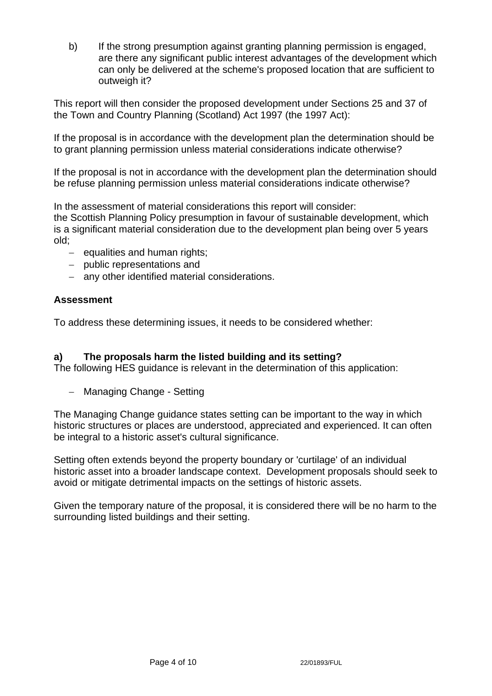b) If the strong presumption against granting planning permission is engaged, are there any significant public interest advantages of the development which can only be delivered at the scheme's proposed location that are sufficient to outweigh it?

This report will then consider the proposed development under Sections 25 and 37 of the Town and Country Planning (Scotland) Act 1997 (the 1997 Act):

If the proposal is in accordance with the development plan the determination should be to grant planning permission unless material considerations indicate otherwise?

If the proposal is not in accordance with the development plan the determination should be refuse planning permission unless material considerations indicate otherwise?

In the assessment of material considerations this report will consider:

the Scottish Planning Policy presumption in favour of sustainable development, which is a significant material consideration due to the development plan being over 5 years old;

- − equalities and human rights;
- − public representations and
- − any other identified material considerations.

### **Assessment**

To address these determining issues, it needs to be considered whether:

### **a) The proposals harm the listed building and its setting?**

The following HES guidance is relevant in the determination of this application:

− Managing Change - Setting

The Managing Change guidance states setting can be important to the way in which historic structures or places are understood, appreciated and experienced. It can often be integral to a historic asset's cultural significance.

Setting often extends beyond the property boundary or 'curtilage' of an individual historic asset into a broader landscape context. Development proposals should seek to avoid or mitigate detrimental impacts on the settings of historic assets.

Given the temporary nature of the proposal, it is considered there will be no harm to the surrounding listed buildings and their setting.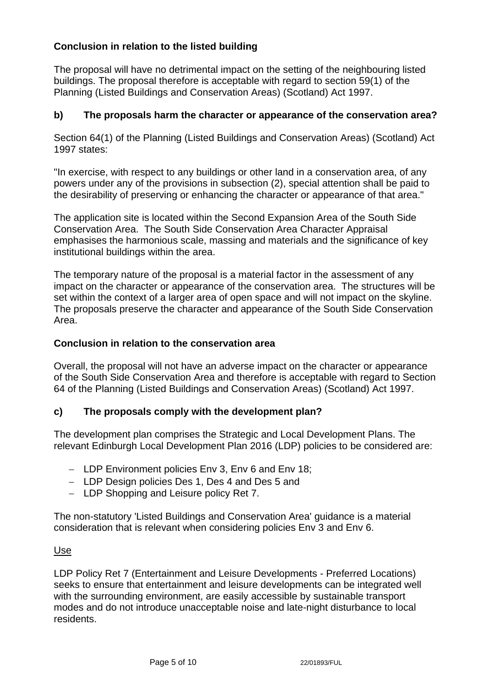## **Conclusion in relation to the listed building**

The proposal will have no detrimental impact on the setting of the neighbouring listed buildings. The proposal therefore is acceptable with regard to section 59(1) of the Planning (Listed Buildings and Conservation Areas) (Scotland) Act 1997.

### **b) The proposals harm the character or appearance of the conservation area?**

Section 64(1) of the Planning (Listed Buildings and Conservation Areas) (Scotland) Act 1997 states:

"In exercise, with respect to any buildings or other land in a conservation area, of any powers under any of the provisions in subsection (2), special attention shall be paid to the desirability of preserving or enhancing the character or appearance of that area."

The application site is located within the Second Expansion Area of the South Side Conservation Area. The South Side Conservation Area Character Appraisal emphasises the harmonious scale, massing and materials and the significance of key institutional buildings within the area.

The temporary nature of the proposal is a material factor in the assessment of any impact on the character or appearance of the conservation area. The structures will be set within the context of a larger area of open space and will not impact on the skyline. The proposals preserve the character and appearance of the South Side Conservation Area.

### **Conclusion in relation to the conservation area**

Overall, the proposal will not have an adverse impact on the character or appearance of the South Side Conservation Area and therefore is acceptable with regard to Section 64 of the Planning (Listed Buildings and Conservation Areas) (Scotland) Act 1997.

### **c) The proposals comply with the development plan?**

The development plan comprises the Strategic and Local Development Plans. The relevant Edinburgh Local Development Plan 2016 (LDP) policies to be considered are:

- − LDP Environment policies Env 3, Env 6 and Env 18;
- − LDP Design policies Des 1, Des 4 and Des 5 and
- − LDP Shopping and Leisure policy Ret 7.

The non-statutory 'Listed Buildings and Conservation Area' guidance is a material consideration that is relevant when considering policies Env 3 and Env 6.

#### Use

LDP Policy Ret 7 (Entertainment and Leisure Developments - Preferred Locations) seeks to ensure that entertainment and leisure developments can be integrated well with the surrounding environment, are easily accessible by sustainable transport modes and do not introduce unacceptable noise and late-night disturbance to local residents.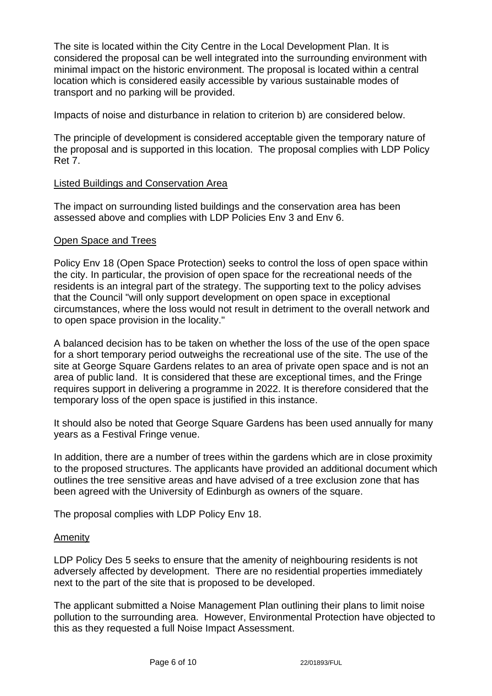The site is located within the City Centre in the Local Development Plan. It is considered the proposal can be well integrated into the surrounding environment with minimal impact on the historic environment. The proposal is located within a central location which is considered easily accessible by various sustainable modes of transport and no parking will be provided.

Impacts of noise and disturbance in relation to criterion b) are considered below.

The principle of development is considered acceptable given the temporary nature of the proposal and is supported in this location. The proposal complies with LDP Policy Ret 7.

#### Listed Buildings and Conservation Area

The impact on surrounding listed buildings and the conservation area has been assessed above and complies with LDP Policies Env 3 and Env 6.

#### Open Space and Trees

Policy Env 18 (Open Space Protection) seeks to control the loss of open space within the city. In particular, the provision of open space for the recreational needs of the residents is an integral part of the strategy. The supporting text to the policy advises that the Council "will only support development on open space in exceptional circumstances, where the loss would not result in detriment to the overall network and to open space provision in the locality."

A balanced decision has to be taken on whether the loss of the use of the open space for a short temporary period outweighs the recreational use of the site. The use of the site at George Square Gardens relates to an area of private open space and is not an area of public land. It is considered that these are exceptional times, and the Fringe requires support in delivering a programme in 2022. It is therefore considered that the temporary loss of the open space is justified in this instance.

It should also be noted that George Square Gardens has been used annually for many years as a Festival Fringe venue.

In addition, there are a number of trees within the gardens which are in close proximity to the proposed structures. The applicants have provided an additional document which outlines the tree sensitive areas and have advised of a tree exclusion zone that has been agreed with the University of Edinburgh as owners of the square.

The proposal complies with LDP Policy Env 18.

#### Amenity

LDP Policy Des 5 seeks to ensure that the amenity of neighbouring residents is not adversely affected by development. There are no residential properties immediately next to the part of the site that is proposed to be developed.

The applicant submitted a Noise Management Plan outlining their plans to limit noise pollution to the surrounding area. However, Environmental Protection have objected to this as they requested a full Noise Impact Assessment.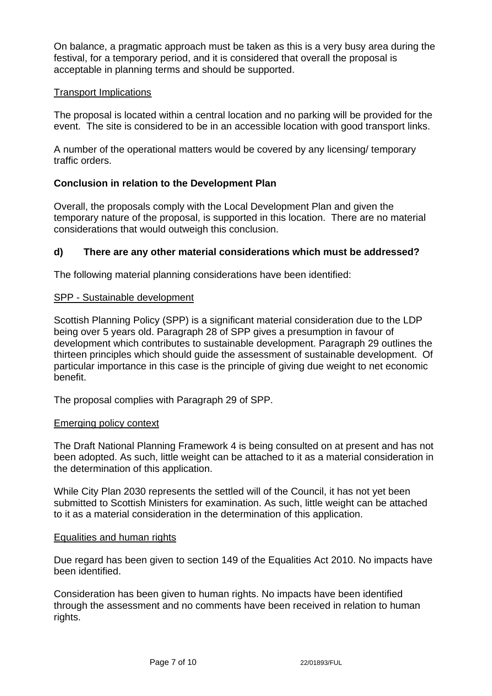On balance, a pragmatic approach must be taken as this is a very busy area during the festival, for a temporary period, and it is considered that overall the proposal is acceptable in planning terms and should be supported.

### Transport Implications

The proposal is located within a central location and no parking will be provided for the event. The site is considered to be in an accessible location with good transport links.

A number of the operational matters would be covered by any licensing/ temporary traffic orders.

## **Conclusion in relation to the Development Plan**

Overall, the proposals comply with the Local Development Plan and given the temporary nature of the proposal, is supported in this location. There are no material considerations that would outweigh this conclusion.

## **d) There are any other material considerations which must be addressed?**

The following material planning considerations have been identified:

### SPP - Sustainable development

Scottish Planning Policy (SPP) is a significant material consideration due to the LDP being over 5 years old. Paragraph 28 of SPP gives a presumption in favour of development which contributes to sustainable development. Paragraph 29 outlines the thirteen principles which should guide the assessment of sustainable development. Of particular importance in this case is the principle of giving due weight to net economic benefit.

The proposal complies with Paragraph 29 of SPP.

### Emerging policy context

The Draft National Planning Framework 4 is being consulted on at present and has not been adopted. As such, little weight can be attached to it as a material consideration in the determination of this application.

While City Plan 2030 represents the settled will of the Council, it has not yet been submitted to Scottish Ministers for examination. As such, little weight can be attached to it as a material consideration in the determination of this application.

### Equalities and human rights

Due regard has been given to section 149 of the Equalities Act 2010. No impacts have been identified.

Consideration has been given to human rights. No impacts have been identified through the assessment and no comments have been received in relation to human rights.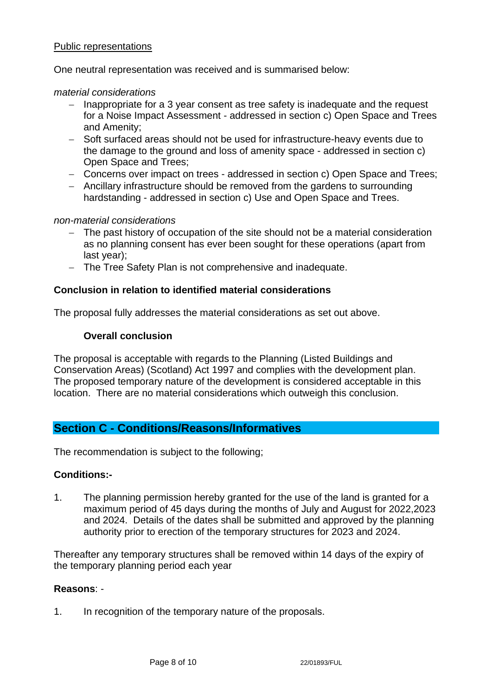### Public representations

One neutral representation was received and is summarised below:

#### *material considerations*

- Inappropriate for a 3 year consent as tree safety is inadequate and the request for a Noise Impact Assessment - addressed in section c) Open Space and Trees and Amenity;
- − Soft surfaced areas should not be used for infrastructure-heavy events due to the damage to the ground and loss of amenity space - addressed in section c) Open Space and Trees;
- − Concerns over impact on trees addressed in section c) Open Space and Trees;
- − Ancillary infrastructure should be removed from the gardens to surrounding hardstanding - addressed in section c) Use and Open Space and Trees.

#### *non-material considerations*

- The past history of occupation of the site should not be a material consideration as no planning consent has ever been sought for these operations (apart from last year);
- − The Tree Safety Plan is not comprehensive and inadequate.

#### **Conclusion in relation to identified material considerations**

The proposal fully addresses the material considerations as set out above.

#### **Overall conclusion**

The proposal is acceptable with regards to the Planning (Listed Buildings and Conservation Areas) (Scotland) Act 1997 and complies with the development plan. The proposed temporary nature of the development is considered acceptable in this location. There are no material considerations which outweigh this conclusion.

## **Section C - Conditions/Reasons/Informatives**

The recommendation is subject to the following;

#### **Conditions:-**

1. The planning permission hereby granted for the use of the land is granted for a maximum period of 45 days during the months of July and August for 2022,2023 and 2024. Details of the dates shall be submitted and approved by the planning authority prior to erection of the temporary structures for 2023 and 2024.

Thereafter any temporary structures shall be removed within 14 days of the expiry of the temporary planning period each year

#### **Reasons**: -

1. In recognition of the temporary nature of the proposals.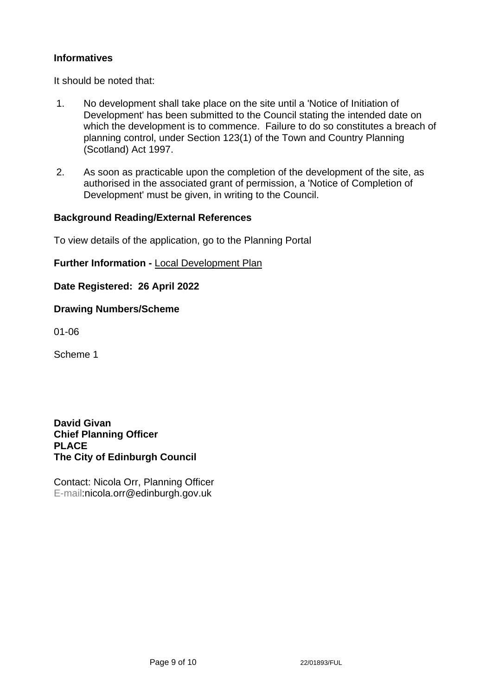## **Informatives**

It should be noted that:

- 1. No development shall take place on the site until a 'Notice of Initiation of Development' has been submitted to the Council stating the intended date on which the development is to commence. Failure to do so constitutes a breach of planning control, under Section 123(1) of the Town and Country Planning (Scotland) Act 1997.
- 2. As soon as practicable upon the completion of the development of the site, as authorised in the associated grant of permission, a 'Notice of Completion of Development' must be given, in writing to the Council.

#### **Background Reading/External References**

To view details of the application, go to the Planning Portal

**Further Information -** [Local Development Plan](https://www.edinburgh.gov.uk/local-development-plan-guidance-1/edinburgh-local-development-plan/1)

**Date Registered: 26 April 2022**

#### **Drawing Numbers/Scheme**

01-06

Scheme 1

**David Givan Chief Planning Officer PLACE The City of Edinburgh Council**

Contact: Nicola Orr, Planning Officer E-mail:nicola.orr@edinburgh.gov.uk